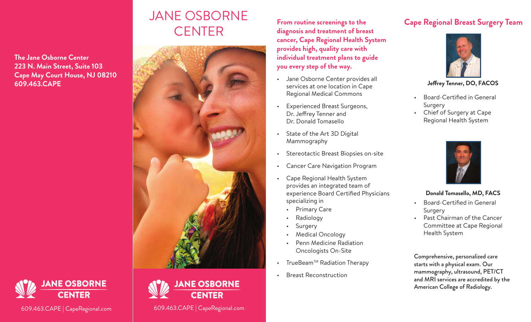# **The Jane Osborne Center 223 N. Main Street, Suite 103 Cape May Court House, NJ 08210 609.463.CAPE**

# JANE OSBORNE **CENTER**



**From routine screenings to the diagnosis and treatment of breast cancer, Cape Regional Health System provides high, quality care with individual treatment plans to guide you every step of the way.**

- Jane Osborne Center provides all services at one location in Cape Regional Medical Commons
- Experienced Breast Surgeons, Dr. Jeffrey Tenner and Dr. Donald Tomasello
- State of the Art 3D Digital Mammography
- Stereotactic Breast Biopsies on-site
- Cancer Care Navigation Program
- Cape Regional Health System provides an integrated team of experience Board Certified Physicians specializing in
	- Primary Care
	- Radiology
	- **Surgery**
	- Medical Oncology
	- Penn Medicine Radiation Oncologists On-Site
- TrueBeam<sup>TM</sup> Radiation Therapy
- Breast Reconstruction

# **Cape Regional Breast Surgery Team**



**Jeffrey Tenner, DO, FACOS**

- Board-Certified in General Surgery
- Chief of Surgery at Cape Regional Health System



## **Donald Tomasello, MD, FACS**

- Board-Certified in General Surgery
- Past Chairman of the Cancer Committee at Cape Regional Health System

Comprehensive, personalized care starts with a physical exam. Our mammography, ultrasound, PET/CT and MRI services are accredited by the American College of Radiology.